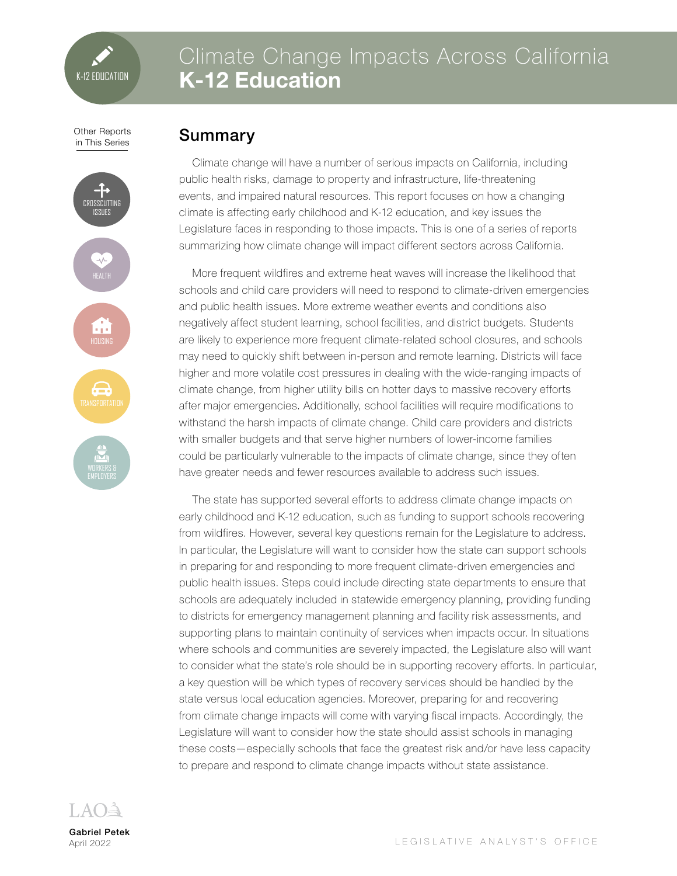# Climate Change Impacts Across California **K-12 Education**

Other Reports in This Series

# ROSSCUTTING ISSUES ÷

# Summary

Climate change will have a number of serious impacts on California, including public health risks, damage to property and infrastructure, life-threatening events, and impaired natural resources. This report focuses on how a changing climate is affecting early childhood and K-12 education, and key issues the Legislature faces in responding to those impacts. This is one of a series of reports summarizing how climate change will impact different sectors across California.

More frequent wildfires and extreme heat waves will increase the likelihood that schools and child care providers will need to respond to climate-driven emergencies and public health issues. More extreme weather events and conditions also negatively affect student learning, school facilities, and district budgets. Students are likely to experience more frequent climate-related school closures, and schools may need to quickly shift between in-person and remote learning. Districts will face higher and more volatile cost pressures in dealing with the wide-ranging impacts of climate change, from higher utility bills on hotter days to massive recovery efforts after major emergencies. Additionally, school facilities will require modifications to withstand the harsh impacts of climate change. Child care providers and districts with smaller budgets and that serve higher numbers of lower-income families could be particularly vulnerable to the impacts of climate change, since they often have greater needs and fewer resources available to address such issues.

The state has supported several efforts to address climate change impacts on early childhood and K-12 education, such as funding to support schools recovering from wildfires. However, several key questions remain for the Legislature to address. In particular, the Legislature will want to consider how the state can support schools in preparing for and responding to more frequent climate-driven emergencies and public health issues. Steps could include directing state departments to ensure that schools are adequately included in statewide emergency planning, providing funding to districts for emergency management planning and facility risk assessments, and supporting plans to maintain continuity of services when impacts occur. In situations where schools and communities are severely impacted, the Legislature also will want to consider what the state's role should be in supporting recovery efforts. In particular, a key question will be which types of recovery services should be handled by the state versus local education agencies. Moreover, preparing for and recovering from climate change impacts will come with varying fiscal impacts. Accordingly, the Legislature will want to consider how the state should assist schools in managing these costs—especially schools that face the greatest risk and/or have less capacity to prepare and respond to climate change impacts without state assistance.



Gabriel Petek April 2022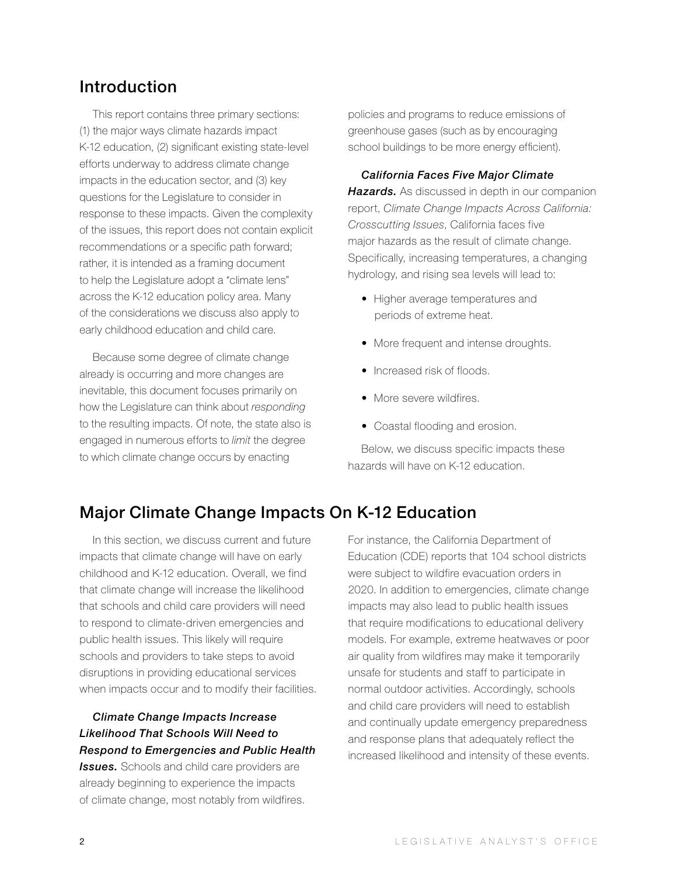# Introduction

This report contains three primary sections: (1) the major ways climate hazards impact K-12 education, (2) significant existing state-level efforts underway to address climate change impacts in the education sector, and (3) key questions for the Legislature to consider in response to these impacts. Given the complexity of the issues, this report does not contain explicit recommendations or a specific path forward; rather, it is intended as a framing document to help the Legislature adopt a "climate lens" across the K-12 education policy area. Many of the considerations we discuss also apply to early childhood education and child care.

Because some degree of climate change already is occurring and more changes are inevitable, this document focuses primarily on how the Legislature can think about *responding* to the resulting impacts. Of note, the state also is engaged in numerous efforts to *limit* the degree to which climate change occurs by enacting

policies and programs to reduce emissions of greenhouse gases (such as by encouraging school buildings to be more energy efficient).

*California Faces Five Major Climate Hazards.* As discussed in depth in our companion report, *Climate Change Impacts Across California: Crosscutting Issues*, California faces five major hazards as the result of climate change. Specifically, increasing temperatures, a changing hydrology, and rising sea levels will lead to:

- Higher average temperatures and periods of extreme heat.
- More frequent and intense droughts.
- Increased risk of floods.
- More severe wildfires.
- Coastal flooding and erosion.

Below, we discuss specific impacts these hazards will have on K-12 education.

# Major Climate Change Impacts On K-12 Education

In this section, we discuss current and future impacts that climate change will have on early childhood and K-12 education. Overall, we find that climate change will increase the likelihood that schools and child care providers will need to respond to climate-driven emergencies and public health issues. This likely will require schools and providers to take steps to avoid disruptions in providing educational services when impacts occur and to modify their facilities.

### *Climate Change Impacts Increase Likelihood That Schools Will Need to Respond to Emergencies and Public Health*

**Issues.** Schools and child care providers are already beginning to experience the impacts of climate change, most notably from wildfires. For instance, the California Department of Education (CDE) reports that 104 school districts were subject to wildfire evacuation orders in 2020. In addition to emergencies, climate change impacts may also lead to public health issues that require modifications to educational delivery models. For example, extreme heatwaves or poor air quality from wildfires may make it temporarily unsafe for students and staff to participate in normal outdoor activities. Accordingly, schools and child care providers will need to establish and continually update emergency preparedness and response plans that adequately reflect the increased likelihood and intensity of these events.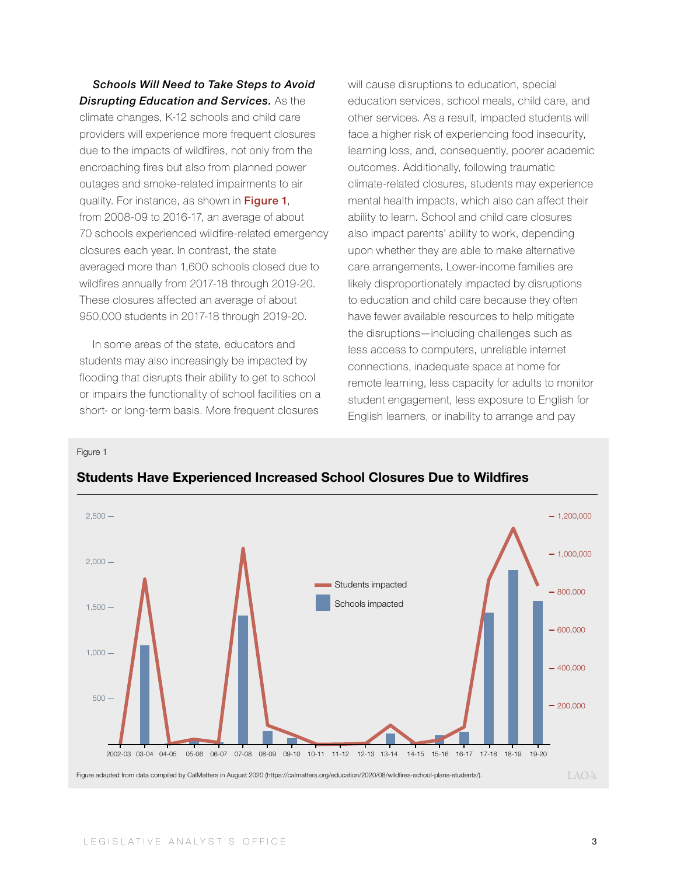*Schools Will Need to Take Steps to Avoid Disrupting Education and Services.* As the climate changes, K-12 schools and child care providers will experience more frequent closures due to the impacts of wildfires, not only from the encroaching fires but also from planned power outages and smoke-related impairments to air quality. For instance, as shown in Figure 1, from 2008-09 to 2016-17, an average of about 70 schools experienced wildfire-related emergency closures each year. In contrast, the state averaged more than 1,600 schools closed due to wildfires annually from 2017-18 through 2019-20. These closures affected an average of about 950,000 students in 2017-18 through 2019-20.

In some areas of the state, educators and students may also increasingly be impacted by flooding that disrupts their ability to get to school or impairs the functionality of school facilities on a short- or long-term basis. More frequent closures

will cause disruptions to education, special education services, school meals, child care, and other services. As a result, impacted students will face a higher risk of experiencing food insecurity, learning loss, and, consequently, poorer academic outcomes. Additionally, following traumatic climate-related closures, students may experience mental health impacts, which also can affect their ability to learn. School and child care closures also impact parents' ability to work, depending upon whether they are able to make alternative care arrangements. Lower-income families are likely disproportionately impacted by disruptions to education and child care because they often have fewer available resources to help mitigate the disruptions—including challenges such as less access to computers, unreliable internet connections, inadequate space at home for remote learning, less capacity for adults to monitor student engagement, less exposure to English for English learners, or inability to arrange and pay

Figure 1



### **Students Have Experienced Increased School Closures Due to Wildfires**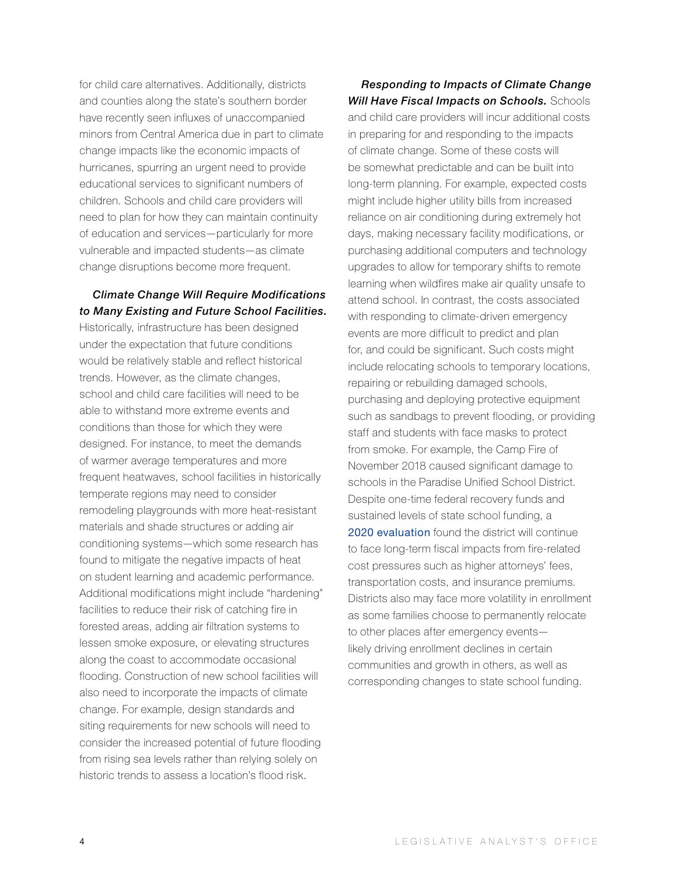for child care alternatives. Additionally, districts and counties along the state's southern border have recently seen influxes of unaccompanied minors from Central America due in part to climate change impacts like the economic impacts of hurricanes, spurring an urgent need to provide educational services to significant numbers of children. Schools and child care providers will need to plan for how they can maintain continuity of education and services—particularly for more vulnerable and impacted students—as climate change disruptions become more frequent.

### *Climate Change Will Require Modifications to Many Existing and Future School Facilities.*

Historically, infrastructure has been designed under the expectation that future conditions would be relatively stable and reflect historical trends. However, as the climate changes, school and child care facilities will need to be able to withstand more extreme events and conditions than those for which they were designed. For instance, to meet the demands of warmer average temperatures and more frequent heatwaves, school facilities in historically temperate regions may need to consider remodeling playgrounds with more heat-resistant materials and shade structures or adding air conditioning systems—which some research has found to mitigate the negative impacts of heat on student learning and academic performance. Additional modifications might include "hardening" facilities to reduce their risk of catching fire in forested areas, adding air filtration systems to lessen smoke exposure, or elevating structures along the coast to accommodate occasional flooding. Construction of new school facilities will also need to incorporate the impacts of climate change. For example, design standards and siting requirements for new schools will need to consider the increased potential of future flooding from rising sea levels rather than relying solely on historic trends to assess a location's flood risk.

*Responding to Impacts of Climate Change Will Have Fiscal Impacts on Schools.* Schools and child care providers will incur additional costs in preparing for and responding to the impacts of climate change. Some of these costs will be somewhat predictable and can be built into long-term planning. For example, expected costs might include higher utility bills from increased reliance on air conditioning during extremely hot days, making necessary facility modifications, or purchasing additional computers and technology upgrades to allow for temporary shifts to remote learning when wildfires make air quality unsafe to attend school. In contrast, the costs associated with responding to climate-driven emergency events are more difficult to predict and plan for, and could be significant. Such costs might include relocating schools to temporary locations, repairing or rebuilding damaged schools, purchasing and deploying protective equipment such as sandbags to prevent flooding, or providing staff and students with face masks to protect from smoke. For example, the Camp Fire of November 2018 caused significant damage to schools in the Paradise Unified School District. Despite one-time federal recovery funds and sustained levels of state school funding, a 2020 [evaluation](https://www.fcmat.org/PublicationsReports/Paradise-USD-final-letter-10002.pdf) found the district will continue to face long-term fiscal impacts from fire-related cost pressures such as higher attorneys' fees, transportation costs, and insurance premiums. Districts also may face more volatility in enrollment as some families choose to permanently relocate to other places after emergency events likely driving enrollment declines in certain communities and growth in others, as well as corresponding changes to state school funding.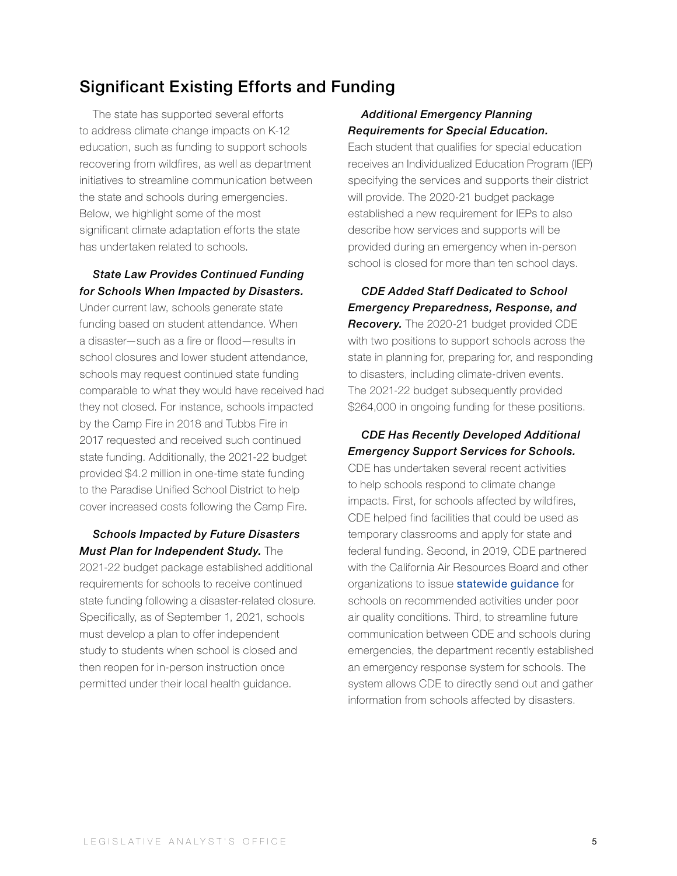# Significant Existing Efforts and Funding

The state has supported several efforts to address climate change impacts on K-12 education, such as funding to support schools recovering from wildfires, as well as department initiatives to streamline communication between the state and schools during emergencies. Below, we highlight some of the most significant climate adaptation efforts the state has undertaken related to schools.

### *State Law Provides Continued Funding for Schools When Impacted by Disasters.*

Under current law, schools generate state funding based on student attendance. When a disaster—such as a fire or flood—results in school closures and lower student attendance, schools may request continued state funding comparable to what they would have received had they not closed. For instance, schools impacted by the Camp Fire in 2018 and Tubbs Fire in 2017 requested and received such continued state funding. Additionally, the 2021-22 budget provided \$4.2 million in one-time state funding to the Paradise Unified School District to help cover increased costs following the Camp Fire.

### *Schools Impacted by Future Disasters Must Plan for Independent Study.* The

2021-22 budget package established additional requirements for schools to receive continued state funding following a disaster-related closure. Specifically, as of September 1, 2021, schools must develop a plan to offer independent study to students when school is closed and then reopen for in-person instruction once permitted under their local health guidance.

### *Additional Emergency Planning Requirements for Special Education.*

Each student that qualifies for special education receives an Individualized Education Program (IEP) specifying the services and supports their district will provide. The 2020-21 budget package established a new requirement for IEPs to also describe how services and supports will be provided during an emergency when in-person school is closed for more than ten school days.

*CDE Added Staff Dedicated to School Emergency Preparedness, Response, and Recovery.* The 2020-21 budget provided CDE with two positions to support schools across the state in planning for, preparing for, and responding to disasters, including climate-driven events. The 2021-22 budget subsequently provided \$264,000 in ongoing funding for these positions.

### *CDE Has Recently Developed Additional Emergency Support Services for Schools.*

CDE has undertaken several recent activities to help schools respond to climate change impacts. First, for schools affected by wildfires, CDE helped find facilities that could be used as temporary classrooms and apply for state and federal funding. Second, in 2019, CDE partnered with the California Air Resources Board and other organizations to issue [statewide guidance](https://www.cde.ca.gov/ls/ep/documents/airqualityguidance.pdf) for schools on recommended activities under poor air quality conditions. Third, to streamline future communication between CDE and schools during emergencies, the department recently established an emergency response system for schools. The system allows CDE to directly send out and gather information from schools affected by disasters.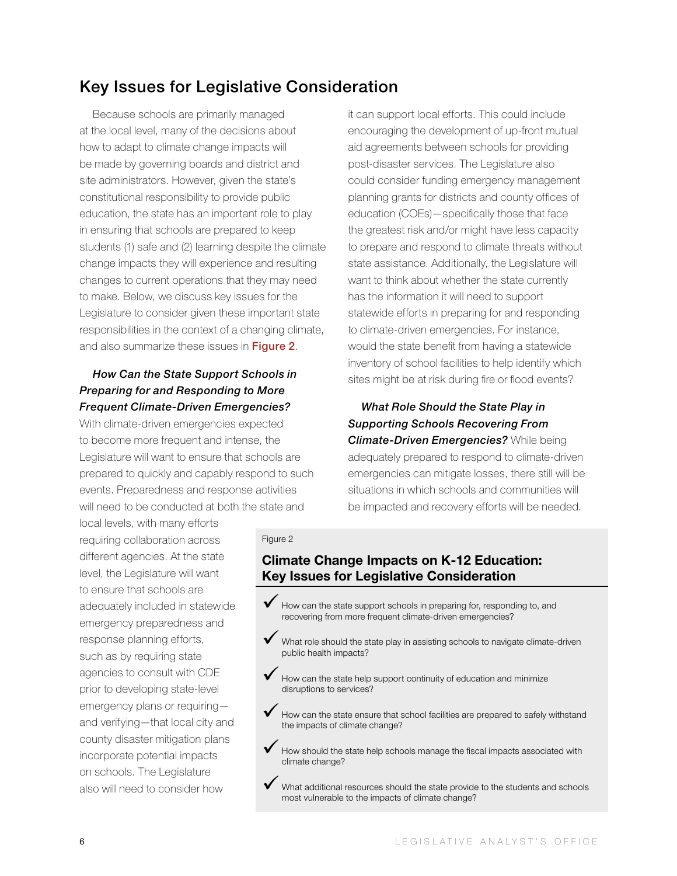# Key Issues for Legislative Consideration

Because schools are primarily managed at the local level, many of the decisions about how to adapt to climate change impacts will be made by governing boards and district and site administrators. However, given the state's constitutional responsibility to provide public education, the state has an important role to play in ensuring that schools are prepared to keep students (1) safe and (2) learning despite the climate change impacts they will experience and resulting changes to current operations that they may need to make. Below, we discuss key issues for the Legislature to consider given these important state responsibilities in the context of a changing climate, and also summarize these issues in Figure 2.

### *How Can the State Support Schools in Preparing for and Responding to More Frequent Climate-Driven Emergencies?*

With climate-driven emergencies expected to become more frequent and intense, the Legislature will want to ensure that schools are prepared to quickly and capably respond to such events. Preparedness and response activities will need to be conducted at both the state and

local levels, with many efforts requiring collaboration across different agencies. At the state level, the Legislature will want to ensure that schools are adequately included in statewide emergency preparedness and response planning efforts, such as by requiring state agencies to consult with CDE prior to developing state-level emergency plans or requiring and verifying—that local city and county disaster mitigation plans incorporate potential impacts on schools. The Legislature also will need to consider how

it can support local efforts. This could include encouraging the development of up-front mutual aid agreements between schools for providing post-disaster services. The Legislature also could consider funding emergency management planning grants for districts and county offices of education (COEs)—specifically those that face the greatest risk and/or might have less capacity to prepare and respond to climate threats without state assistance. Additionally, the Legislature will want to think about whether the state currently has the information it will need to support statewide efforts in preparing for and responding to climate-driven emergencies. For instance, would the state benefit from having a statewide inventory of school facilities to help identify which sites might be at risk during fire or flood events?

*What Role Should the State Play in Supporting Schools Recovering From Climate-Driven Emergencies?* While being adequately prepared to respond to climate-driven emergencies can mitigate losses, there still will be situations in which schools and communities will be impacted and recovery efforts will be needed.

### Figure 2

### **Climate Change Impacts on K-12 Education: Key Issues for Legislative Consideration**

- $\blacktriangledown$  How can the state support schools in preparing for, responding to, and recovering from more frequent climate-driven emergencies?
- What role should the state play in assisting schools to navigate climate-driven public health impacts?
- How can the state help support continuity of education and minimize disruptions to services?
- How can the state ensure that school facilities are prepared to safely withstand the impacts of climate change?
- How should the state help schools manage the fiscal impacts associated with climate change?
- What additional resources should the state provide to the students and schools most vulnerable to the impacts of climate change?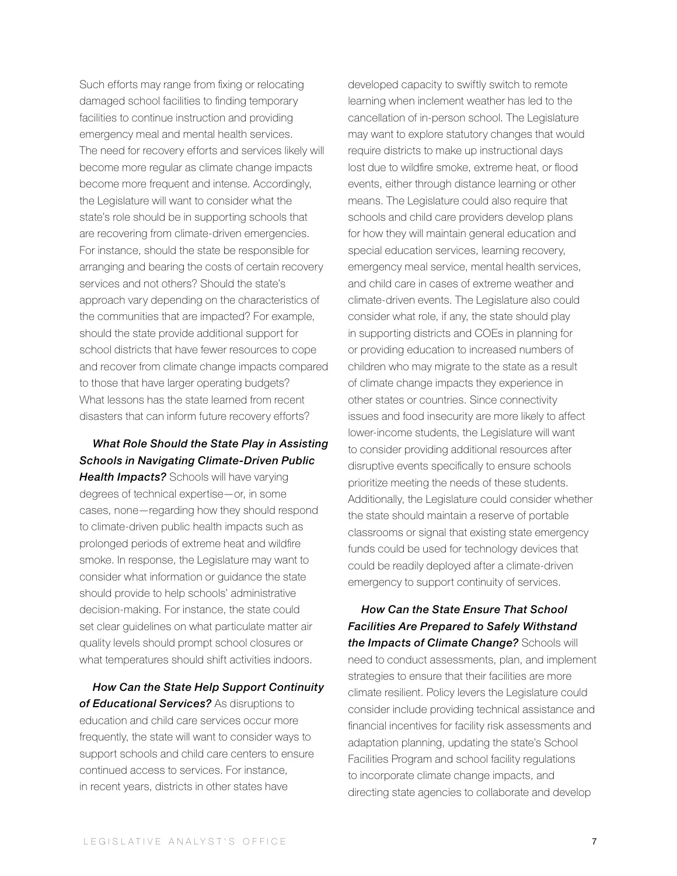Such efforts may range from fixing or relocating damaged school facilities to finding temporary facilities to continue instruction and providing emergency meal and mental health services. The need for recovery efforts and services likely will become more regular as climate change impacts become more frequent and intense. Accordingly, the Legislature will want to consider what the state's role should be in supporting schools that are recovering from climate-driven emergencies. For instance, should the state be responsible for arranging and bearing the costs of certain recovery services and not others? Should the state's approach vary depending on the characteristics of the communities that are impacted? For example, should the state provide additional support for school districts that have fewer resources to cope and recover from climate change impacts compared to those that have larger operating budgets? What lessons has the state learned from recent disasters that can inform future recovery efforts?

### *What Role Should the State Play in Assisting Schools in Navigating Climate-Driven Public*

**Health Impacts?** Schools will have varying degrees of technical expertise—or, in some cases, none—regarding how they should respond to climate-driven public health impacts such as prolonged periods of extreme heat and wildfire smoke. In response, the Legislature may want to consider what information or guidance the state should provide to help schools' administrative decision-making. For instance, the state could set clear guidelines on what particulate matter air quality levels should prompt school closures or what temperatures should shift activities indoors.

*How Can the State Help Support Continuity of Educational Services?* As disruptions to education and child care services occur more frequently, the state will want to consider ways to support schools and child care centers to ensure continued access to services. For instance, in recent years, districts in other states have

developed capacity to swiftly switch to remote learning when inclement weather has led to the cancellation of in-person school. The Legislature may want to explore statutory changes that would require districts to make up instructional days lost due to wildfire smoke, extreme heat, or flood events, either through distance learning or other means. The Legislature could also require that schools and child care providers develop plans for how they will maintain general education and special education services, learning recovery, emergency meal service, mental health services, and child care in cases of extreme weather and climate-driven events. The Legislature also could consider what role, if any, the state should play in supporting districts and COEs in planning for or providing education to increased numbers of children who may migrate to the state as a result of climate change impacts they experience in other states or countries. Since connectivity issues and food insecurity are more likely to affect lower-income students, the Legislature will want to consider providing additional resources after disruptive events specifically to ensure schools prioritize meeting the needs of these students. Additionally, the Legislature could consider whether the state should maintain a reserve of portable classrooms or signal that existing state emergency funds could be used for technology devices that could be readily deployed after a climate-driven emergency to support continuity of services.

*How Can the State Ensure That School Facilities Are Prepared to Safely Withstand the Impacts of Climate Change?* Schools will need to conduct assessments, plan, and implement strategies to ensure that their facilities are more climate resilient. Policy levers the Legislature could consider include providing technical assistance and financial incentives for facility risk assessments and adaptation planning, updating the state's School Facilities Program and school facility regulations to incorporate climate change impacts, and directing state agencies to collaborate and develop